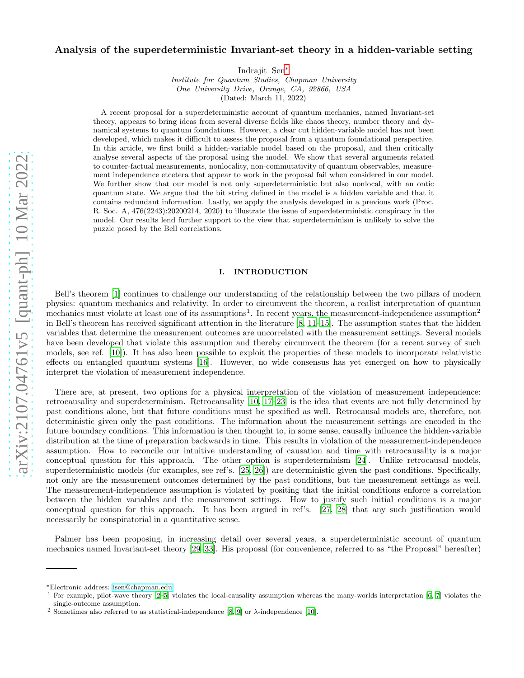# Analysis of the superdeterministic Invariant-set theory in a hidden-variable setting

Indrajit Sen[∗](#page-0-0)

*Institute for Quantum Studies, Chapman University One University Drive, Orange, CA, 92866, USA* (Dated: March 11, 2022)

A recent proposal for a superdeterministic account of quantum mechanics, named Invariant-set theory, appears to bring ideas from several diverse fields like chaos theory, number theory and dynamical systems to quantum foundations. However, a clear cut hidden-variable model has not been developed, which makes it difficult to assess the proposal from a quantum foundational perspective. In this article, we first build a hidden-variable model based on the proposal, and then critically analyse several aspects of the proposal using the model. We show that several arguments related to counter-factual measurements, nonlocality, non-commutativity of quantum observables, measurement independence etcetera that appear to work in the proposal fail when considered in our model. We further show that our model is not only superdeterministic but also nonlocal, with an ontic quantum state. We argue that the bit string defined in the model is a hidden variable and that it contains redundant information. Lastly, we apply the analysis developed in a previous work (Proc. R. Soc. A, 476(2243):20200214, 2020) to illustrate the issue of superdeterministic conspiracy in the model. Our results lend further support to the view that superdeterminism is unlikely to solve the puzzle posed by the Bell correlations.

# I. INTRODUCTION

Bell's theorem [\[1](#page-14-0)] continues to challenge our understanding of the relationship between the two pillars of modern physics: quantum mechanics and relativity. In order to circumvent the theorem, a realist interpretation of quantum mechanics must violate at least one of its assumptions<sup>1</sup>. In recent years, the measurement-independence assumption<sup>2</sup> in Bell's theorem has received significant attention in the literature [\[8](#page-15-0), [11](#page-15-1)[–15\]](#page-15-2). The assumption states that the hidden variables that determine the measurement outcomes are uncorrelated with the measurement settings. Several models have been developed that violate this assumption and thereby circumvent the theorem (for a recent survey of such models, see ref. [\[10](#page-15-3)]). It has also been possible to exploit the properties of these models to incorporate relativistic effects on entangled quantum systems [\[16\]](#page-15-4). However, no wide consensus has yet emerged on how to physically interpret the violation of measurement independence.

There are, at present, two options for a physical interpretation of the violation of measurement independence: retrocausality and superdeterminism. Retrocausality [\[10,](#page-15-3) [17](#page-15-5)[–23](#page-15-6)] is the idea that events are not fully determined by past conditions alone, but that future conditions must be specified as well. Retrocausal models are, therefore, not deterministic given only the past conditions. The information about the measurement settings are encoded in the future boundary conditions. This information is then thought to, in some sense, causally influence the hidden-variable distribution at the time of preparation backwards in time. This results in violation of the measurement-independence assumption. How to reconcile our intuitive understanding of causation and time with retrocausality is a major conceptual question for this approach. The other option is superdeterminism [\[24\]](#page-15-7). Unlike retrocausal models, superdeterministic models (for examples, see ref's. [\[25,](#page-15-8) [26\]](#page-15-9)) are deterministic given the past conditions. Specifically, not only are the measurement outcomes determined by the past conditions, but the measurement settings as well. The measurement-independence assumption is violated by positing that the initial conditions enforce a correlation between the hidden variables and the measurement settings. How to justify such initial conditions is a major conceptual question for this approach. It has been argued in ref's. [\[27](#page-15-10), [28](#page-15-11)] that any such justification would necessarily be conspiratorial in a quantitative sense.

Palmer has been proposing, in increasing detail over several years, a superdeterministic account of quantum mechanics named Invariant-set theory [\[29](#page-15-12)[–33](#page-15-13)]. His proposal (for convenience, referred to as "the Proposal" hereafter)

<span id="page-0-0"></span><sup>∗</sup>Electronic address: [isen@chapman.edu](mailto:isen@chapman.edu)

<sup>1</sup> For example, pilot-wave theory [\[2](#page-14-1)[–5\]](#page-14-2) violates the local-causality assumption whereas the many-worlds interpretation [\[6](#page-14-3), [7](#page-15-14)] violates the single-outcome assumption.

<sup>&</sup>lt;sup>2</sup> Sometimes also referred to as statistical-independence [\[8,](#page-15-0) [9](#page-15-15)] or  $\lambda$ -independence [\[10\]](#page-15-3).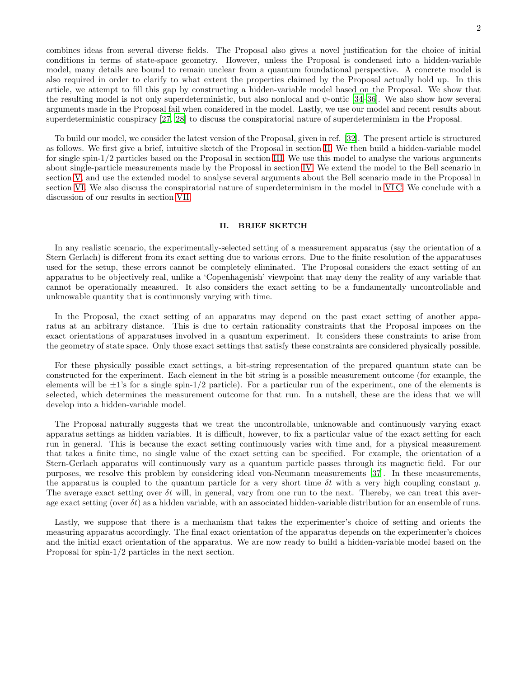combines ideas from several diverse fields. The Proposal also gives a novel justification for the choice of initial conditions in terms of state-space geometry. However, unless the Proposal is condensed into a hidden-variable model, many details are bound to remain unclear from a quantum foundational perspective. A concrete model is also required in order to clarify to what extent the properties claimed by the Proposal actually hold up. In this article, we attempt to fill this gap by constructing a hidden-variable model based on the Proposal. We show that the resulting model is not only superdeterministic, but also nonlocal and  $\psi$ -ontic [\[34](#page-15-16)[–36](#page-15-17)]. We also show how several arguments made in the Proposal fail when considered in the model. Lastly, we use our model and recent results about superdeterministic conspiracy [\[27](#page-15-10), [28](#page-15-11)] to discuss the conspiratorial nature of superdeterminism in the Proposal.

To build our model, we consider the latest version of the Proposal, given in ref. [\[32](#page-15-18)]. The present article is structured as follows. We first give a brief, intuitive sketch of the Proposal in section [II.](#page-1-0) We then build a hidden-variable model for single spin-1/2 particles based on the Proposal in section [III.](#page-2-0) We use this model to analyse the various arguments about single-particle measurements made by the Proposal in section [IV.](#page-5-0) We extend the model to the Bell scenario in section [V,](#page-9-0) and use the extended model to analyse several arguments about the Bell scenario made in the Proposal in section [VI.](#page-11-0) We also discuss the conspiratorial nature of superdeterminism in the model in [VI C.](#page-13-0) We conclude with a discussion of our results in section [VII.](#page-13-1)

# <span id="page-1-0"></span>II. BRIEF SKETCH

In any realistic scenario, the experimentally-selected setting of a measurement apparatus (say the orientation of a Stern Gerlach) is different from its exact setting due to various errors. Due to the finite resolution of the apparatuses used for the setup, these errors cannot be completely eliminated. The Proposal considers the exact setting of an apparatus to be objectively real, unlike a 'Copenhagenish' viewpoint that may deny the reality of any variable that cannot be operationally measured. It also considers the exact setting to be a fundamentally uncontrollable and unknowable quantity that is continuously varying with time.

In the Proposal, the exact setting of an apparatus may depend on the past exact setting of another apparatus at an arbitrary distance. This is due to certain rationality constraints that the Proposal imposes on the exact orientations of apparatuses involved in a quantum experiment. It considers these constraints to arise from the geometry of state space. Only those exact settings that satisfy these constraints are considered physically possible.

For these physically possible exact settings, a bit-string representation of the prepared quantum state can be constructed for the experiment. Each element in the bit string is a possible measurement outcome (for example, the elements will be  $\pm 1$ 's for a single spin-1/2 particle). For a particular run of the experiment, one of the elements is selected, which determines the measurement outcome for that run. In a nutshell, these are the ideas that we will develop into a hidden-variable model.

The Proposal naturally suggests that we treat the uncontrollable, unknowable and continuously varying exact apparatus settings as hidden variables. It is difficult, however, to fix a particular value of the exact setting for each run in general. This is because the exact setting continuously varies with time and, for a physical measurement that takes a finite time, no single value of the exact setting can be specified. For example, the orientation of a Stern-Gerlach apparatus will continuously vary as a quantum particle passes through its magnetic field. For our purposes, we resolve this problem by considering ideal von-Neumann measurements [\[37](#page-15-19)]. In these measurements, the apparatus is coupled to the quantum particle for a very short time  $\delta t$  with a very high coupling constant q. The average exact setting over  $\delta t$  will, in general, vary from one run to the next. Thereby, we can treat this average exact setting (over  $\delta t$ ) as a hidden variable, with an associated hidden-variable distribution for an ensemble of runs.

Lastly, we suppose that there is a mechanism that takes the experimenter's choice of setting and orients the measuring apparatus accordingly. The final exact orientation of the apparatus depends on the experimenter's choices and the initial exact orientation of the apparatus. We are now ready to build a hidden-variable model based on the Proposal for spin-1/2 particles in the next section.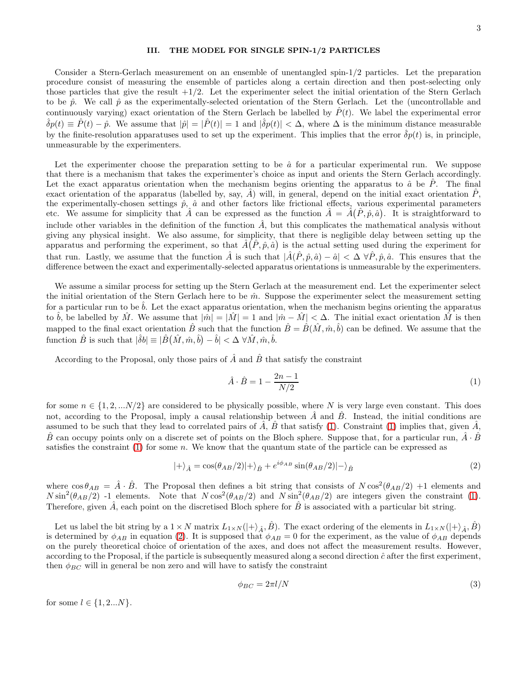### <span id="page-2-0"></span>III. THE MODEL FOR SINGLE SPIN-1/2 PARTICLES

Consider a Stern-Gerlach measurement on an ensemble of unentangled spin-1/2 particles. Let the preparation procedure consist of measuring the ensemble of particles along a certain direction and then post-selecting only those particles that give the result  $+1/2$ . Let the experimenter select the initial orientation of the Stern Gerlach to be  $\hat{p}$ . We call  $\hat{p}$  as the experimentally-selected orientation of the Stern Gerlach. Let the (uncontrollable and continuously varying) exact orientation of the Stern Gerlach be labelled by  $\hat{P}(t)$ . We label the experimental error  $\hat{\delta}p(t) \equiv \hat{P}(t) - \hat{p}$ . We assume that  $|\hat{p}| = |\hat{P}(t)| = 1$  and  $|\hat{\delta}p(t)| < \Delta$ , where  $\Delta$  is the minimum distance measurable by the finite-resolution apparatuses used to set up the experiment. This implies that the error  $\delta p(t)$  is, in principle, unmeasurable by the experimenters.

Let the experimenter choose the preparation setting to be  $\hat{a}$  for a particular experimental run. We suppose that there is a mechanism that takes the experimenter's choice as input and orients the Stern Gerlach accordingly. Let the exact apparatus orientation when the mechanism begins orienting the apparatus to  $\hat{a}$  be  $\hat{P}$ . The final exact orientation of the apparatus (labelled by, say,  $\hat{A}$ ) will, in general, depend on the initial exact orientation  $\hat{P}$ , the experimentally-chosen settings  $\hat{p}$ ,  $\hat{a}$  and other factors like frictional effects, various experimental parameters etc. We assume for simplicity that  $\hat{A}$  can be expressed as the function  $\hat{A} = \hat{A}(\hat{P}, \hat{p}, \hat{a})$ . It is straightforward to include other variables in the definition of the function  $\hat{A}$ , but this complicates the mathematical analysis without giving any physical insight. We also assume, for simplicity, that there is negligible delay between setting up the apparatus and performing the experiment, so that  $\hat{A}(\hat{P},\hat{p},\hat{a})$  is the actual setting used during the experiment for that run. Lastly, we assume that the function  $\hat{A}$  is such that  $|\hat{A}(\hat{P}, \hat{p}, \hat{a}) - \hat{a}| < \Delta \ \forall \hat{P}, \hat{p}, \hat{a}$ . This ensures that the difference between the exact and experimentally-selected apparatus orientations is unmeasurable by the experimenters.

We assume a similar process for setting up the Stern Gerlach at the measurement end. Let the experimenter select the initial orientation of the Stern Gerlach here to be  $\hat{m}$ . Suppose the experimenter select the measurement setting for a particular run to be  $b$ . Let the exact apparatus orientation, when the mechanism begins orienting the apparatus to  $\hat{b}$ , be labelled by  $\hat{M}$ . We assume that  $|\hat{m}| = |\hat{M}| = 1$  and  $|\hat{m} - \hat{M}| < \Delta$ . The initial exact orientation  $\hat{M}$  is then mapped to the final exact orientation  $\hat{B}$  such that the function  $\hat{B} = \hat{B}(\hat{M}, \hat{m}, \hat{b})$  can be defined. We assume that the function  $\hat{B}$  is such that  $|\hat{\delta}b| \equiv |\hat{B}(\hat{M}, \hat{m}, \hat{b}) - \hat{b}| < \Delta \forall \hat{M}, \hat{m}, \hat{b}$ .

According to the Proposal, only those pairs of  $\hat{A}$  and  $\hat{B}$  that satisfy the constraint

<span id="page-2-2"></span><span id="page-2-1"></span>
$$
\hat{A} \cdot \hat{B} = 1 - \frac{2n - 1}{N/2} \tag{1}
$$

for some  $n \in \{1, 2, \ldots N/2\}$  are considered to be physically possible, where N is very large even constant. This does not, according to the Proposal, imply a causal relationship between  $\hat{A}$  and  $\hat{B}$ . Instead, the initial conditions are assumed to be such that they lead to correlated pairs of  $\hat{A}$ ,  $\hat{B}$  that satisfy [\(1\)](#page-2-1). Constraint (1) implies that, given  $\hat{A}$ ,  $\hat{B}$  can occupy points only on a discrete set of points on the Bloch sphere. Suppose that, for a particular run,  $\hat{A} \cdot \hat{B}$ satisfies the constraint  $(1)$  for some n. We know that the quantum state of the particle can be expressed as

$$
|+\rangle_{\hat{A}} = \cos(\theta_{AB}/2)|+\rangle_{\hat{B}} + e^{i\phi_{AB}}\sin(\theta_{AB}/2)|-\rangle_{\hat{B}} \tag{2}
$$

where  $\cos\theta_{AB} = \hat{A} \cdot \hat{B}$ . The Proposal then defines a bit string that consists of  $N \cos^2(\theta_{AB}/2) + 1$  elements and  $N\sin^2(\theta_{AB}/2)$  -1 elements. Note that  $N\cos^2(\theta_{AB}/2)$  and  $N\sin^2(\theta_{AB}/2)$  are integers given the constraint [\(1\)](#page-2-1). Therefore, given  $\hat{A}$ , each point on the discretised Bloch sphere for  $\hat{B}$  is associated with a particular bit string.

Let us label the bit string by a  $1 \times N$  matrix  $L_{1 \times N}(|+\rangle_{\hat{A}}, \hat{B})$ . The exact ordering of the elements in  $L_{1 \times N}(|+\rangle_{\hat{A}}, \hat{B})$ is determined by  $\phi_{AB}$  in equation [\(2\)](#page-2-2). It is supposed that  $\phi_{AB} = 0$  for the experiment, as the value of  $\phi_{AB}$  depends on the purely theoretical choice of orientation of the axes, and does not affect the measurement results. However, according to the Proposal, if the particle is subsequently measured along a second direction  $\hat{c}$  after the first experiment, then  $\phi_{BC}$  will in general be non zero and will have to satisfy the constraint

$$
\phi_{BC} = 2\pi l/N \tag{3}
$$

for some  $l \in \{1, 2...N\}$ .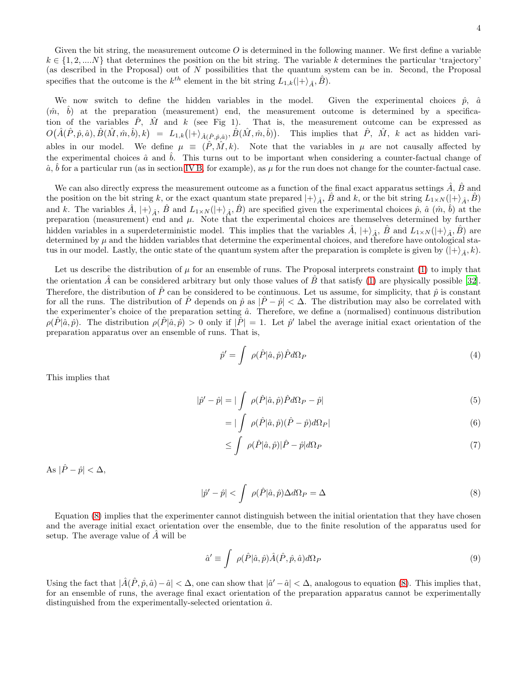Given the bit string, the measurement outcome  $O$  is determined in the following manner. We first define a variable  $k \in \{1, 2, ..., N\}$  that determines the position on the bit string. The variable k determines the particular 'trajectory' (as described in the Proposal) out of  $N$  possibilities that the quantum system can be in. Second, the Proposal specifies that the outcome is the  $k^{th}$  element in the bit string  $L_{1,k}(|+\rangle_{\hat{A}}, \hat{B})$ .

We now switch to define the hidden variables in the model. Given the experimental choices  $\hat{p}$ ,  $\hat{a}$  $(\hat{m}, \hat{b})$  at the preparation (measurement) end, the measurement outcome is determined by a specification of the variables  $\hat{P}$ ,  $\hat{M}$  and k (see Fig 1). That is, the measurement outcome can be expressed as  $O(\hat{A}(\hat{P}, \hat{p}, \hat{a}), \hat{B}(\hat{M}, \hat{m}, \hat{b}), k) = L_{1,k}(|+\rangle_{\hat{A}(\hat{P}, \hat{p}, \hat{a})}, \hat{B}(\hat{M}, \hat{m}, \hat{b}))$ . This implies that  $\hat{P}, \hat{M}, k$  act as hidden variables in our model. We define  $\mu \equiv (\hat{P}, \hat{M}, k)$ . Note that the variables in  $\mu$  are not causally affected by the experimental choices  $\hat{a}$  and  $\hat{b}$ . This turns out to be important when considering a counter-factual change of  $\hat{a}$ ,  $\hat{b}$  for a particular run (as in section [IV B,](#page-6-0) for example), as  $\mu$  for the run does not change for the counter-factual case.

We can also directly express the measurement outcome as a function of the final exact apparatus settings  $\hat{A}$ ,  $\hat{B}$  and the position on the bit string k, or the exact quantum state prepared  $|+\rangle_{\hat{A}}, \hat{B}$  and k, or the bit string  $L_{1\times N}(|+\rangle_{\hat{A}}, \hat{B})$ and k. The variables  $\hat{A}$ ,  $|+\rangle_{\hat{A}}$ ,  $\hat{B}$  and  $L_{1\times N}(|+\rangle_{\hat{A}}, \hat{B})$  are specified given the experimental choices  $\hat{p}$ ,  $\hat{a}$   $(\hat{m}, \hat{b})$  at the preparation (measurement) end and  $\mu$ . Note that the experimental choices are themselves determined by further hidden variables in a superdeterministic model. This implies that the variables  $\hat{A}$ ,  $|+\rangle_{\hat{A}}$ ,  $\hat{B}$  and  $L_{1\times N}(|+\rangle_{\hat{A}}, \hat{B})$  are determined by  $\mu$  and the hidden variables that determine the experimental choices, and therefore have ontological status in our model. Lastly, the ontic state of the quantum system after the preparation is complete is given by  $(|+\rangle_{\hat{A}}, k)$ .

Let us describe the distribution of  $\mu$  for an ensemble of runs. The Proposal interprets constraint [\(1\)](#page-2-1) to imply that the orientation  $\tilde{A}$  can be considered arbitrary but only those values of  $\tilde{B}$  that satisfy [\(1\)](#page-2-1) are physically possible [\[32\]](#page-15-18). Therefore, the distribution of  $\hat{P}$  can be considered to be continuous. Let us assume, for simplicity, that  $\hat{p}$  is constant for all the runs. The distribution of  $\hat{P}$  depends on  $\hat{p}$  as  $|\hat{P} - \hat{p}| < \Delta$ . The distribution may also be correlated with the experimenter's choice of the preparation setting  $\hat{a}$ . Therefore, we define a (normalised) continuous distribution  $\rho(\hat{P}|\hat{a},\hat{p})$ . The distribution  $\rho(\hat{P}|\hat{a},\hat{p}) > 0$  only if  $|\hat{P}| = 1$ . Let  $\hat{p}'$  label the average initial exact orientation of the preparation apparatus over an ensemble of runs. That is,

$$
\hat{p}' = \int \rho(\hat{P}|\hat{a}, \hat{p}) \hat{P} d\Omega_P \tag{4}
$$

This implies that

$$
|\hat{p}' - \hat{p}| = |\int_{\square} \rho(\hat{P}|\hat{a}, \hat{p}) \hat{P} d\Omega_P - \hat{p}|
$$
\n(5)

$$
=|\int \rho(\hat{P}|\hat{a},\hat{p})(\hat{P}-\hat{p})d\Omega_{P}| \qquad (6)
$$

<span id="page-3-0"></span>
$$
\leq \int \rho(\hat{P}|\hat{a},\hat{p})|\hat{P} - \hat{p}|d\Omega_P \tag{7}
$$

As  $|\hat{P} - \hat{p}| < \Delta$ ,

$$
|\hat{p}' - \hat{p}| < \int \rho(\hat{P}|\hat{a}, \hat{p}) \Delta d\Omega_P = \Delta \tag{8}
$$

Equation [\(8\)](#page-3-0) implies that the experimenter cannot distinguish between the initial orientation that they have chosen and the average initial exact orientation over the ensemble, due to the finite resolution of the apparatus used for setup. The average value of  $\ddot{A}$  will be

<span id="page-3-1"></span>
$$
\hat{a}' \equiv \int \ \rho(\hat{P}|\hat{a}, \hat{p}) \hat{A}(\hat{P}, \hat{p}, \hat{a}) d\Omega_P \tag{9}
$$

Using the fact that  $|\hat{A}(\hat{P}, \hat{p}, \hat{a}) - \hat{a}| < \Delta$ , one can show that  $|\hat{a}' - \hat{a}| < \Delta$ , analogous to equation [\(8\)](#page-3-0). This implies that, for an ensemble of runs, the average final exact orientation of the preparation apparatus cannot be experimentally distinguished from the experimentally-selected orientation  $\hat{a}$ .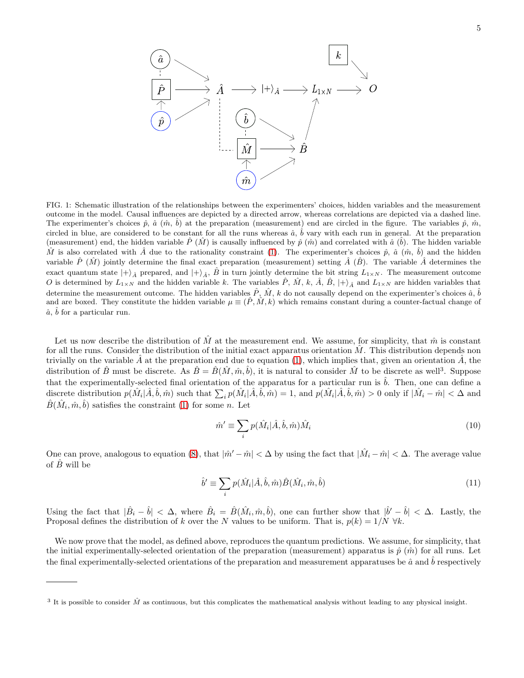

FIG. 1: Schematic illustration of the relationships between the experimenters' choices, hidden variables and the measurement outcome in the model. Causal influences are depicted by a directed arrow, whereas correlations are depicted via a dashed line. The experimenter's choices  $\hat{p}$ ,  $\hat{a}$   $(\hat{m}, \hat{b})$  at the preparation (measurement) end are circled in the figure. The variables  $\hat{p}$ ,  $\hat{m}$ , circled in blue, are considered to be constant for all the runs whereas  $\hat{a}$ ,  $\hat{b}$  vary with each run in general. At the preparation (measurement) end, the hidden variable  $\hat{P}(\hat{M})$  is causally influenced by  $\hat{p}(\hat{m})$  and correlated with  $\hat{a}(\hat{b})$ . The hidden variable  $\hat{M}$  is also correlated with  $\hat{A}$  due to the rationality constraint [\(1\)](#page-2-1). The experimenter's choices  $\hat{p}$ ,  $\hat{a}$  ( $\hat{m}$ ,  $\hat{b}$ ) and the hidden variable  $\hat{P}(\hat{M})$  jointly determine the final exact preparation (measurement) setting  $\hat{A}(\hat{B})$ . The variable  $\hat{A}$  determines the exact quantum state  $|+\rangle_{\hat{A}}$  prepared, and  $|+\rangle_{\hat{A}}$ ,  $\hat{B}$  in turn jointly determine the bit string  $L_{1\times N}$ . The measurement outcome O is determined by  $L_{1\times N}$  and the hidden variable k. The variables  $\hat{P}$ ,  $\hat{M}$ ,  $k$ ,  $\hat{A}$ ,  $\hat{B}$ ,  $|+\rangle_{\hat{A}}$  and  $L_{1\times N}$  are hidden variables that determine the measurement outcome. The hidden variables  $\hat{P}$ ,  $\hat{M}$ ,  $k$  do not causally depend on the experimenter's choices  $\hat{a}$ ,  $\hat{b}$ and are boxed. They constitute the hidden variable  $\mu \equiv (\hat{P}, \hat{M}, k)$  which remains constant during a counter-factual change of  $\hat{a}$ ,  $\hat{b}$  for a particular run.

Let us now describe the distribution of  $\hat{M}$  at the measurement end. We assume, for simplicity, that  $\hat{m}$  is constant for all the runs. Consider the distribution of the initial exact apparatus orientation  $\tilde{M}$ . This distribution depends non trivially on the variable A at the preparation end due to equation  $(1)$ , which implies that, given an orientation A, the distribution of  $\hat{B}$  must be discrete. As  $\hat{B} = \hat{B}(\hat{M}, \hat{m}, \hat{b})$ , it is natural to consider  $\hat{M}$  to be discrete as well<sup>3</sup>. Suppose that the experimentally-selected final orientation of the apparatus for a particular run is  $\hat{b}$ . Then, one can define a discrete distribution  $p(\hat{M}_i | \hat{A}, \hat{b}, \hat{m})$  such that  $\sum_i p(\hat{M}_i | \hat{A}, \hat{b}, \hat{m}) = 1$ , and  $p(\hat{M}_i | \hat{A}, \hat{b}, \hat{m}) > 0$  only if  $|\hat{M}_i - \hat{m}| < \Delta$  and  $\hat{B}(\hat{M}_i, \hat{m}, \hat{b})$  satisfies the constraint [\(1\)](#page-2-1) for some n. Let

<span id="page-4-0"></span>
$$
\hat{m}' \equiv \sum_{i} p(\hat{M}_i | \hat{A}, \hat{b}, \hat{m}) \hat{M}_i
$$
\n(10)

One can prove, analogous to equation [\(8\)](#page-3-0), that  $|\hat{m}' - \hat{m}| < \Delta$  by using the fact that  $|\hat{M}_i - \hat{m}| < \Delta$ . The average value of  $\hat{B}$  will be

$$
\hat{b}' \equiv \sum_{i} p(\hat{M}_i | \hat{A}, \hat{b}, \hat{m}) \hat{B}(\hat{M}_i, \hat{m}, \hat{b})
$$
\n(11)

Using the fact that  $|\hat{B}_i - \hat{b}| < \Delta$ , where  $\hat{B}_i = \hat{B}(\hat{M}_i, \hat{m}, \hat{b})$ , one can further show that  $|\hat{b}' - \hat{b}| < \Delta$ . Lastly, the Proposal defines the distribution of k over the N values to be uniform. That is,  $p(k) = 1/N \forall k$ .

We now prove that the model, as defined above, reproduces the quantum predictions. We assume, for simplicity, that the initial experimentally-selected orientation of the preparation (measurement) apparatus is  $\hat{p}(\hat{m})$  for all runs. Let the final experimentally-selected orientations of the preparation and measurement apparatuses be  $\hat{a}$  and  $\hat{b}$  respectively

<sup>&</sup>lt;sup>3</sup> It is possible to consider  $\hat{M}$  as continuous, but this complicates the mathematical analysis without leading to any physical insight.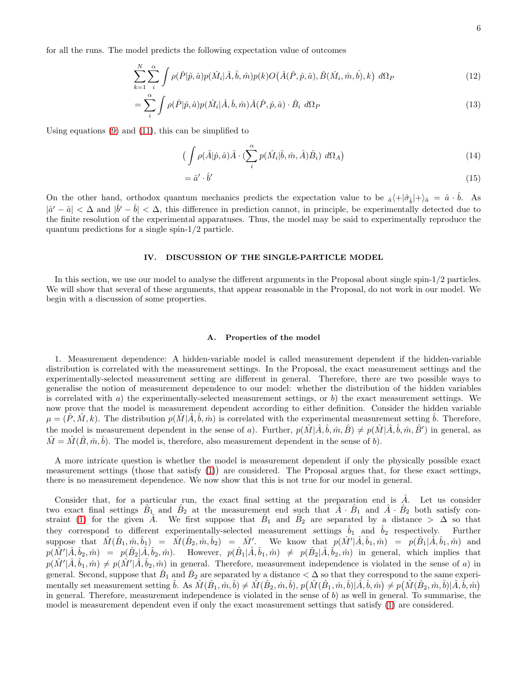for all the runs. The model predicts the following expectation value of outcomes

$$
\sum_{k=1}^{N} \sum_{i}^{\alpha} \int \rho(\hat{P}|\hat{p}, \hat{a}) p(\hat{M}_i|\hat{A}, \hat{b}, \hat{m}) p(k) O(\hat{A}(\hat{P}, \hat{p}, \hat{a}), \hat{B}(\hat{M}_i, \hat{m}, \hat{b}), k) d\Omega_P
$$
\n(12)

$$
= \sum_{i}^{\alpha} \int \rho(\hat{P}|\hat{p}, \hat{a}) p(\hat{M}_i|\hat{A}, \hat{b}, \hat{m}) \hat{A}(\hat{P}, \hat{p}, \hat{a}) \cdot \hat{B}_i \, d\Omega_P \tag{13}
$$

Using equations [\(9\)](#page-3-1) and [\(11\)](#page-4-0), this can be simplified to

$$
\left(\int \rho(\hat{A}|\hat{p},\hat{a})\hat{A}\cdot(\sum_{i}^{\alpha}p(\hat{M}_{i}|\hat{b},\hat{m},\hat{A})\hat{B}_{i}) d\Omega_{A}\right)
$$
\n(14)

$$
= \hat{a}' \cdot \hat{b}' \tag{15}
$$

On the other hand, orthodox quantum mechanics predicts the expectation value to be  $\hat{a}\langle +|\hat{\sigma}_{\hat{b}}|+\rangle_{\hat{a}} = \hat{a}\cdot\hat{b}$ . As  $|\hat{a}'-\hat{a}| < \Delta$  and  $|\hat{b}'-\hat{b}| < \Delta$ , this difference in prediction cannot, in principle, be experimentally detected due to the finite resolution of the experimental apparatuses. Thus, the model may be said to experimentally reproduce the quantum predictions for a single spin-1/2 particle.

#### <span id="page-5-0"></span>IV. DISCUSSION OF THE SINGLE-PARTICLE MODEL

In this section, we use our model to analyse the different arguments in the Proposal about single spin-1/2 particles. We will show that several of these arguments, that appear reasonable in the Proposal, do not work in our model. We begin with a discussion of some properties.

#### <span id="page-5-1"></span>A. Properties of the model

1. Measurement dependence: A hidden-variable model is called measurement dependent if the hidden-variable distribution is correlated with the measurement settings. In the Proposal, the exact measurement settings and the experimentally-selected measurement setting are different in general. Therefore, there are two possible ways to generalise the notion of measurement dependence to our model: whether the distribution of the hidden variables is correlated with  $a$ ) the experimentally-selected measurement settings, or  $b$ ) the exact measurement settings. We now prove that the model is measurement dependent according to either definition. Consider the hidden variable  $\mu = (\hat{P}, \hat{M}, k)$ . The distribution  $p(\hat{M} | \hat{A}, \hat{b}, \hat{m})$  is correlated with the experimental measurement setting  $\hat{b}$ . Therefore, the model is measurement dependent in the sense of a). Further,  $p(\hat{M}|\hat{A}, \hat{b}, \hat{m}, \hat{B}) \neq p(\hat{M}|\hat{A}, \hat{b}, \hat{m}, \hat{B}')$  in general, as  $\hat{M} = \hat{M}(\hat{B}, \hat{m}, \hat{b})$ . The model is, therefore, also measurement dependent in the sense of b).

A more intricate question is whether the model is measurement dependent if only the physically possible exact measurement settings (those that satisfy [\(1\)](#page-2-1)) are considered. The Proposal argues that, for these exact settings, there is no measurement dependence. We now show that this is not true for our model in general.

Consider that, for a particular run, the exact final setting at the preparation end is  $\tilde{A}$ . Let us consider two exact final settings  $\hat{B}_1$  and  $\hat{B}_2$  at the measurement end such that  $\hat{A} \cdot \hat{B}_1$  and  $\hat{A} \cdot \hat{B}_2$  both satisfy con-straint [\(1\)](#page-2-1) for the given  $\hat{A}$ . We first suppose that  $\hat{B}_1$  and  $\hat{B}_2$  are separated by a distance  $> \Delta$  so that they correspond to different experimentally-selected measurement settings  $\tilde{b}_1$  and  $\tilde{b}_2$  respectively. Further suppose that  $\hat{M}(\hat{B}_1, \hat{m}, \hat{b}_1) = \hat{M}(\hat{B}_2, \hat{m}, \hat{b}_2) = \hat{M}'$ . We know that  $p(\hat{M}' | \hat{A}, \hat{b}_1, \hat{m}) = p(\hat{B}_1 | \hat{A}, \hat{b}_1, \hat{m})$  and  $p(\hat{M}'|\hat{A}, \hat{b}_2, \hat{m}) = p(\hat{B}_2|\hat{A}, \hat{b}_2, \hat{m})$ . However,  $p(\hat{B}_1|\hat{A}, \hat{b}_1, \hat{m}) \neq p(\hat{B}_2|\hat{A}, \hat{b}_2, \hat{m})$  in general, which implies that  $p(\hat{M}'|\hat{A},\hat{b}_1,\hat{m}) \neq p(\hat{M}'|\hat{A},\hat{b}_2,\hat{m})$  in general. Therefore, measurement independence is violated in the sense of a) in general. Second, suppose that  $\hat{B}_1$  and  $\hat{B}_2$  are separated by a distance  $<\Delta$  so that they correspond to the same experi- $\text{mentally set measurement setting } \hat{b}. \text{ As } \hat{M}(\hat{B}_1, \hat{m}, \hat{b}) \neq \hat{M}(\hat{B}_2, \hat{m}, \hat{b}), p(\hat{M}(\hat{B}_1, \hat{m}, \hat{b})|\hat{A}, \hat{b}, \hat{m}) \neq p(\hat{M}(\hat{B}_2, \hat{m}, \hat{b})|\hat{A}, \hat{b}, \hat{m})$ in general. Therefore, measurement independence is violated in the sense of  $b$ ) as well in general. To summarise, the model is measurement dependent even if only the exact measurement settings that satisfy [\(1\)](#page-2-1) are considered.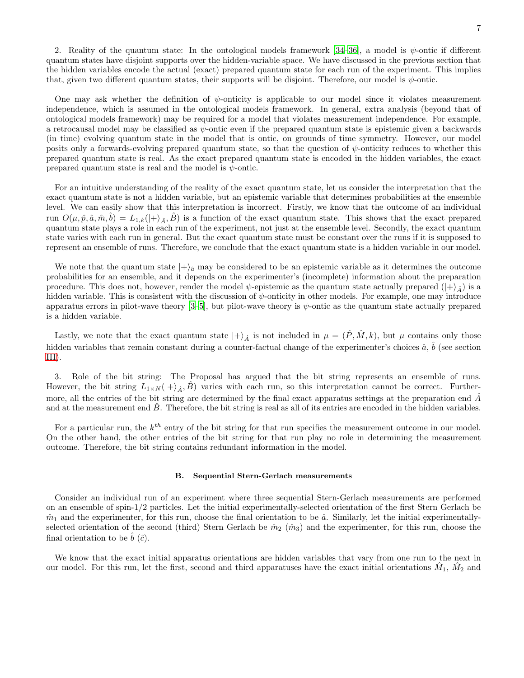2. Reality of the quantum state: In the ontological models framework [\[34](#page-15-16)[–36](#page-15-17)], a model is  $\psi$ -ontic if different quantum states have disjoint supports over the hidden-variable space. We have discussed in the previous section that the hidden variables encode the actual (exact) prepared quantum state for each run of the experiment. This implies that, given two different quantum states, their supports will be disjoint. Therefore, our model is  $\psi$ -ontic.

One may ask whether the definition of  $\psi$ -onticity is applicable to our model since it violates measurement independence, which is assumed in the ontological models framework. In general, extra analysis (beyond that of ontological models framework) may be required for a model that violates measurement independence. For example, a retrocausal model may be classified as  $\psi$ -ontic even if the prepared quantum state is epistemic given a backwards (in time) evolving quantum state in the model that is ontic, on grounds of time symmetry. However, our model posits only a forwards-evolving prepared quantum state, so that the question of  $\psi$ -onticity reduces to whether this prepared quantum state is real. As the exact prepared quantum state is encoded in the hidden variables, the exact prepared quantum state is real and the model is  $\psi$ -ontic.

For an intuitive understanding of the reality of the exact quantum state, let us consider the interpretation that the exact quantum state is not a hidden variable, but an epistemic variable that determines probabilities at the ensemble level. We can easily show that this interpretation is incorrect. Firstly, we know that the outcome of an individual run  $O(\mu, \hat{p}, \hat{a}, \hat{m}, \hat{b}) = L_{1,k}(|+\rangle_{\hat{A}}, \hat{B})$  is a function of the exact quantum state. This shows that the exact prepared quantum state plays a role in each run of the experiment, not just at the ensemble level. Secondly, the exact quantum state varies with each run in general. But the exact quantum state must be constant over the runs if it is supposed to represent an ensemble of runs. Therefore, we conclude that the exact quantum state is a hidden variable in our model.

We note that the quantum state  $|+\rangle_{\hat{a}}$  may be considered to be an epistemic variable as it determines the outcome probabilities for an ensemble, and it depends on the experimenter's (incomplete) information about the preparation procedure. This does not, however, render the model  $\psi$ -epistemic as the quantum state actually prepared  $(|+\rangle_{\hat{A}})$  is a hidden variable. This is consistent with the discussion of  $\psi$ -onticity in other models. For example, one may introduce apparatus errors in pilot-wave theory  $[3-5]$ , but pilot-wave theory is  $\psi$ -ontic as the quantum state actually prepared is a hidden variable.

Lastly, we note that the exact quantum state  $|+\rangle_{\hat{A}}$  is not included in  $\mu = (\hat{P}, \hat{M}, k)$ , but  $\mu$  contains only those hidden variables that remain constant during a counter-factual change of the experimenter's choices  $\hat{a}$ ,  $\hat{b}$  (see section [III\)](#page-2-0).

3. Role of the bit string: The Proposal has argued that the bit string represents an ensemble of runs. However, the bit string  $L_{1\times N}(|+\rangle_{\hat{A}}, \hat{B})$  varies with each run, so this interpretation cannot be correct. Furthermore, all the entries of the bit string are determined by the final exact apparatus settings at the preparation end  $\hat{A}$ and at the measurement end  $\tilde{B}$ . Therefore, the bit string is real as all of its entries are encoded in the hidden variables.

For a particular run, the  $k^{th}$  entry of the bit string for that run specifies the measurement outcome in our model. On the other hand, the other entries of the bit string for that run play no role in determining the measurement outcome. Therefore, the bit string contains redundant information in the model.

#### <span id="page-6-0"></span>B. Sequential Stern-Gerlach measurements

Consider an individual run of an experiment where three sequential Stern-Gerlach measurements are performed on an ensemble of spin-1/2 particles. Let the initial experimentally-selected orientation of the first Stern Gerlach be  $\hat{m}_1$  and the experimenter, for this run, choose the final orientation to be  $\hat{a}$ . Similarly, let the initial experimentallyselected orientation of the second (third) Stern Gerlach be  $\hat{m}_2$  ( $\hat{m}_3$ ) and the experimenter, for this run, choose the final orientation to be  $\hat{b}$  ( $\hat{c}$ ).

We know that the exact initial apparatus orientations are hidden variables that vary from one run to the next in our model. For this run, let the first, second and third apparatuses have the exact initial orientations  $\hat{M}_1$ ,  $\hat{M}_2$  and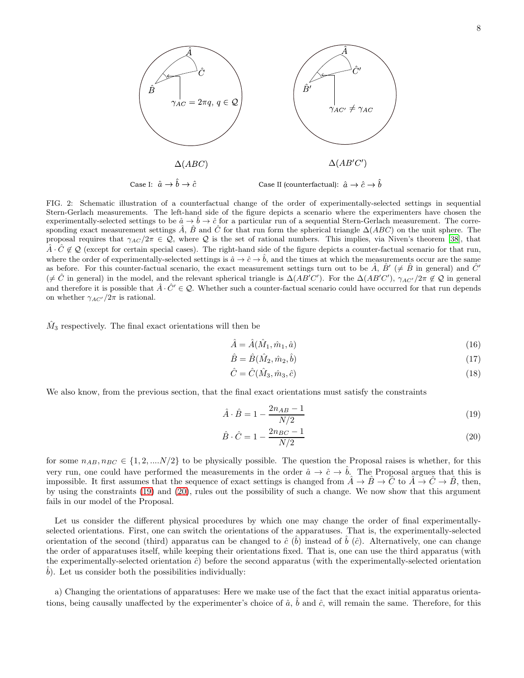

FIG. 2: Schematic illustration of a counterfactual change of the order of experimentally-selected settings in sequential Stern-Gerlach measurements. The left-hand side of the figure depicts a scenario where the experimenters have chosen the experimentally-selected settings to be  $\hat{a} \to \hat{b} \to \hat{c}$  for a particular run of a sequential Stern-Gerlach measurement. The corresponding exact measurement settings  $\hat{A}$ ,  $\hat{B}$  and  $\hat{C}$  for that run form the spherical triangle  $\Delta(ABC)$  on the unit sphere. The proposal requires that  $\gamma_{AC}/2\pi \in \mathcal{Q}$ , where  $\mathcal Q$  is the set of rational numbers. This implies, via Niven's theorem [\[38\]](#page-15-20), that  $\hat{A} \cdot \hat{C} \notin \mathcal{Q}$  (except for certain special cases). The right-hand side of the figure depicts a counter-factual scenario for that run, where the order of experimentally-selected settings is  $\hat{a} \to \hat{c} \to \hat{b}$ , and the times at which the measurements occur are the same as before. For this counter-factual scenario, the exact measurement settings turn out to be  $\hat{A}$ ,  $\hat{B}'$  ( $\neq \hat{B}$  in general) and  $\hat{C}'$  $(\neq \hat{C}$  in general) in the model, and the relevant spherical triangle is  $\Delta(AB'C')$ . For the  $\Delta(AB'C')$ ,  $\gamma_{AC'}/2\pi \notin \mathcal{Q}$  in general and therefore it is possible that  $\hat{A} \cdot \hat{C}' \in \mathcal{Q}$ . Whether such a counter-factual scenario could have occurred for that run depends on whether  $\gamma_{AC'}/2\pi$  is rational.

 $\hat{M}_3$  respectively. The final exact orientations will then be

$$
\hat{A} = \hat{A}(\hat{M}_1, \hat{m}_1, \hat{a})\tag{16}
$$

$$
\hat{B} = \hat{B}(\hat{M}_2, \hat{m}_2, \hat{b})\tag{17}
$$

<span id="page-7-1"></span><span id="page-7-0"></span>
$$
\hat{C} = \hat{C}(\hat{M}_3, \hat{m}_3, \hat{c})\tag{18}
$$

We also know, from the previous section, that the final exact orientations must satisfy the constraints

$$
\hat{A} \cdot \hat{B} = 1 - \frac{2n_{AB} - 1}{N/2} \tag{19}
$$

$$
\hat{B} \cdot \hat{C} = 1 - \frac{2n_{BC} - 1}{N/2} \tag{20}
$$

for some  $n_{AB}, n_{BC} \in \{1, 2, ..., N/2\}$  to be physically possible. The question the Proposal raises is whether, for this very run, one could have performed the measurements in the order  $\hat{a} \to \hat{c} \to \hat{b}$ . The Proposal argues that this is impossible. It first assumes that the sequence of exact settings is changed from  $\hat{A} \to \hat{B} \to \hat{C}$  to  $\hat{A} \to \hat{C} \to \hat{B}$ , then, by using the constraints [\(19\)](#page-7-0) and [\(20\)](#page-7-1), rules out the possibility of such a change. We now show that this argument fails in our model of the Proposal.

Let us consider the different physical procedures by which one may change the order of final experimentallyselected orientations. First, one can switch the orientations of the apparatuses. That is, the experimentally-selected orientation of the second (third) apparatus can be changed to  $\hat{c}$  ( $\hat{b}$ ) instead of  $\hat{b}$  ( $\hat{c}$ ). Alternatively, one can change the order of apparatuses itself, while keeping their orientations fixed. That is, one can use the third apparatus (with the experimentally-selected orientation  $\hat{c}$ ) before the second apparatus (with the experimentally-selected orientation  $\hat{b}$ ). Let us consider both the possibilities individually:

a) Changing the orientations of apparatuses: Here we make use of the fact that the exact initial apparatus orientations, being causally unaffected by the experimenter's choice of  $\hat{a}$ ,  $\hat{b}$  and  $\hat{c}$ , will remain the same. Therefore, for this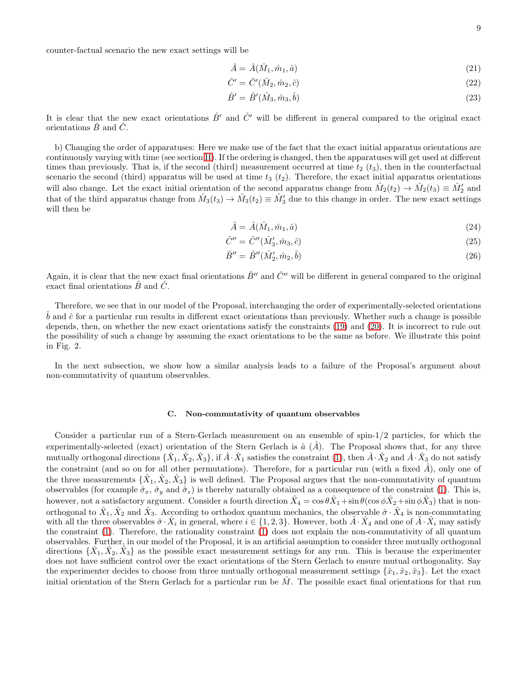counter-factual scenario the new exact settings will be

$$
\hat{A} = \hat{A}(\hat{M}_1, \hat{m}_1, \hat{a})\tag{21}
$$

$$
\hat{C}' = \hat{C}'(\hat{M}_2, \hat{m}_2, \hat{c})
$$
\n(22)

$$
\hat{B}' = \hat{B}'(\hat{M}_3, \hat{m}_3, \hat{b})
$$
\n(23)

It is clear that the new exact orientations  $\hat{B}'$  and  $\hat{C}'$  will be different in general compared to the original exact orientations  $\hat{B}$  and  $\hat{C}$ .

b) Changing the order of apparatuses: Here we make use of the fact that the exact initial apparatus orientations are continuously varying with time (see section [II\)](#page-1-0). If the ordering is changed, then the apparatuses will get used at different times than previously. That is, if the second (third) measurement occurred at time  $t_2$  ( $t_3$ ), then in the counterfactual scenario the second (third) apparatus will be used at time  $t_3$  ( $t_2$ ). Therefore, the exact initial apparatus orientations will also change. Let the exact initial orientation of the second apparatus change from  $\hat{M}_2(t_2) \to \hat{M}_2(t_3) \equiv \hat{M}'_2$  and that of the third apparatus change from  $\hat{M}_3(t_3) \to \hat{M}_3(t_2) \equiv \hat{M}'_3$  due to this change in order. The new exact settings will then be

$$
\hat{A} = \hat{A}(\hat{M}_1, \hat{m}_1, \hat{a})\tag{24}
$$

$$
\hat{C}'' = \hat{C}''(\hat{M}'_3, \hat{m}_3, \hat{c})
$$
\n(25)

$$
\hat{B}'' = \hat{B}''(\hat{M}'_2, \hat{m}_2, \hat{b})\tag{26}
$$

Again, it is clear that the new exact final orientations  $\hat{B}''$  and  $\hat{C}''$  will be different in general compared to the original exact final orientations  $\hat{B}$  and  $\hat{C}$ .

Therefore, we see that in our model of the Proposal, interchanging the order of experimentally-selected orientations  $\hat{b}$  and  $\hat{c}$  for a particular run results in different exact orientations than previously. Whether such a change is possible depends, then, on whether the new exact orientations satisfy the constraints [\(19\)](#page-7-0) and [\(20\)](#page-7-1). It is incorrect to rule out the possibility of such a change by assuming the exact orientations to be the same as before. We illustrate this point in Fig. 2.

In the next subsection, we show how a similar analysis leads to a failure of the Proposal's argument about non-commutativity of quantum observables.

## C. Non-commutativity of quantum observables

Consider a particular run of a Stern-Gerlach measurement on an ensemble of spin-1/2 particles, for which the experimentally-selected (exact) orientation of the Stern Gerlach is  $\hat{a}$  ( $\hat{A}$ ). The Proposal shows that, for any three mutually orthogonal directions  $\{\hat{X}_1,\hat{X}_2,\hat{X}_3\},$  if  $\hat{A}\cdot\hat{X}_1$  satisfies the constraint  $(1),$  then  $\hat{A}\cdot\hat{X}_2$  and  $\hat{A}\cdot\hat{X}_3$  do not satisfy the constraint (and so on for all other permutations). Therefore, for a particular run (with a fixed  $\hat{A}$ ), only one of the three measurements  $\{\hat{X}_1, \hat{X}_2, \hat{X}_3\}$  is well defined. The Proposal argues that the non-commutativity of quantum observables (for example  $\hat{\sigma}_x$ ,  $\hat{\sigma}_y$  and  $\hat{\sigma}_z$ ) is thereby naturally obtained as a consequence of the constraint [\(1\)](#page-2-1). This is, however, not a satisfactory argument. Consider a fourth direction  $\hat{X}_4 = \cos\theta \hat{X}_1 + \sin\theta(\cos\phi \hat{X}_2 + \sin\phi \hat{X}_3)$  that is nonorthogonal to  $\hat{X}_1, \hat{X}_2$  and  $\hat{X}_3$ . According to orthodox quantum mechanics, the observable  $\hat{\sigma} \cdot \hat{X}_4$  is non-commutating with all the three observables  $\hat{\sigma} \cdot \hat{X}_i$  in general, where  $i \in \{1, 2, 3\}$ . However, both  $\hat{A} \cdot \hat{X}_4$  and one of  $\hat{A} \cdot \hat{X}_i$  may satisfy the constraint [\(1\)](#page-2-1). Therefore, the rationality constraint [\(1\)](#page-2-1) does not explain the non-commutativity of all quantum observables. Further, in our model of the Proposal, it is an artificial assumption to consider three mutually orthogonal directions  $\{\hat{X}_1, \hat{X}_2, \hat{X}_3\}$  as the possible exact measurement settings for any run. This is because the experimenter does not have sufficient control over the exact orientations of the Stern Gerlach to ensure mutual orthogonality. Say the experimenter decides to choose from three mutually orthogonal measurement settings  $\{\hat{x}_1, \hat{x}_2, \hat{x}_3\}$ . Let the exact initial orientation of the Stern Gerlach for a particular run be  $\hat{M}$ . The possible exact final orientations for that run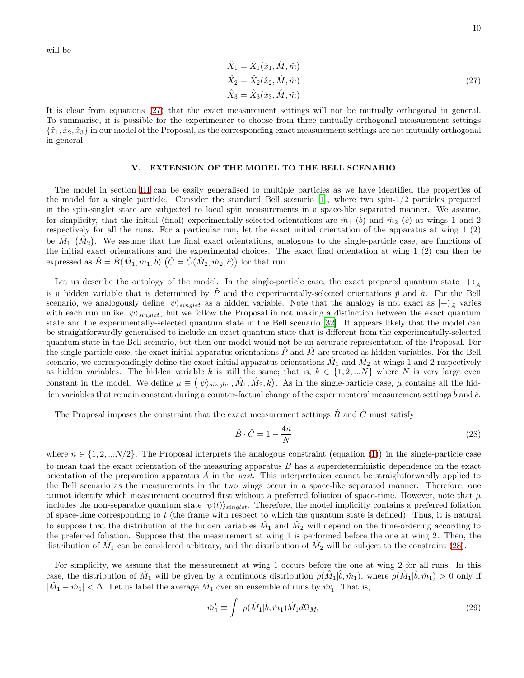will be

<span id="page-9-1"></span>
$$
\hat{X}_1 = \hat{X}_1(\hat{x}_1, \hat{M}, \hat{m}) \n\hat{X}_2 = \hat{X}_2(\hat{x}_2, \hat{M}, \hat{m}) \n\hat{X}_3 = \hat{X}_3(\hat{x}_3, \hat{M}, \hat{m})
$$
\n(27)

It is clear from equations [\(27\)](#page-9-1) that the exact measurement settings will not be mutually orthogonal in general. To summarise, it is possible for the experimenter to choose from three mutually orthogonal measurement settings  $\{\hat{x}_1,\hat{x}_2,\hat{x}_3\}$  in our model of the Proposal, as the corresponding exact measurement settings are not mutually orthogonal in general.

## <span id="page-9-0"></span>V. EXTENSION OF THE MODEL TO THE BELL SCENARIO

The model in section [III](#page-2-0) can be easily generalised to multiple particles as we have identified the properties of the model for a single particle. Consider the standard Bell scenario [\[1\]](#page-14-0), where two spin-1/2 particles prepared in the spin-singlet state are subjected to local spin measurements in a space-like separated manner. We assume, for simplicity, that the initial (final) experimentally-selected orientations are  $\hat{m}_1$  ( $\hat{b}$ ) and  $\hat{m}_2$  ( $\hat{c}$ ) at wings 1 and 2 respectively for all the runs. For a particular run, let the exact initial orientation of the apparatus at wing 1 (2) be  $\hat{M}_1$   $(\hat{M}_2)$ . We assume that the final exact orientations, analogous to the single-particle case, are functions of the initial exact orientations and the experimental choices. The exact final orientation at wing 1 (2) can then be expressed as  $\hat{B} = \hat{B}(\hat{M}_1, \hat{m}_1, \hat{b})$   $(\hat{C} = \hat{C}(\hat{M}_2, \hat{m}_2, \hat{c}))$  for that run.

Let us describe the ontology of the model. In the single-particle case, the exact prepared quantum state  $|+\rangle_{\hat{A}}$ is a hidden variable that is determined by  $\hat{P}$  and the experimentally-selected orientations  $\hat{p}$  and  $\hat{a}$ . For the Bell scenario, we analogously define  $|\psi\rangle_{singlet}$  as a hidden variable. Note that the analogy is not exact as  $|+\rangle_{\hat{A}}$  varies with each run unlike  $|\psi\rangle_{singlet}$ , but we follow the Proposal in not making a distinction between the exact quantum state and the experimentally-selected quantum state in the Bell scenario [\[32\]](#page-15-18). It appears likely that the model can be straightforwardly generalised to include an exact quantum state that is different from the experimentally-selected quantum state in the Bell scenario, but then our model would not be an accurate representation of the Proposal. For the single-particle case, the exact initial apparatus orientations  $\ddot{P}$  and  $\dot{M}$  are treated as hidden variables. For the Bell scenario, we correspondingly define the exact initial apparatus orientations  $\hat{M}_1$  and  $\hat{M}_2$  at wings 1 and 2 respectively as hidden variables. The hidden variable k is still the same; that is,  $k \in \{1, 2, ...N\}$  where N is very large even constant in the model. We define  $\mu \equiv (|\psi\rangle_{singlet}, \hat{M}_1, \hat{M}_2, k)$ . As in the single-particle case,  $\mu$  contains all the hidden variables that remain constant during a counter-factual change of the experimenters' measurement settings  $\hat{b}$  and  $\hat{c}$ .

The Proposal imposes the constraint that the exact measurement settings  $\hat{B}$  and  $\hat{C}$  must satisfy

<span id="page-9-2"></span>
$$
\hat{B} \cdot \hat{C} = 1 - \frac{4n}{N} \tag{28}
$$

where  $n \in \{1, 2, \ldots N/2\}$ . The Proposal interprets the analogous constraint (equation [\(1\)](#page-2-1)) in the single-particle case to mean that the exact orientation of the measuring apparatus  $\hat{B}$  has a superdeterministic dependence on the exact orientation of the preparation apparatus  $\hat{A}$  in the past. This interpretation cannot be straightforwardly applied to the Bell scenario as the measurements in the two wings occur in a space-like separated manner. Therefore, one cannot identify which measurement occurred first without a preferred foliation of space-time. However, note that  $\mu$ includes the non-separable quantum state  $|\psi(t)\rangle_{singlet}$ . Therefore, the model implicitly contains a preferred foliation of space-time corresponding to  $t$  (the frame with respect to which the quantum state is defined). Thus, it is natural to suppose that the distribution of the hidden variables  $\hat{M}_1$  and  $\hat{M}_2$  will depend on the time-ordering according to the preferred foliation. Suppose that the measurement at wing 1 is performed before the one at wing 2. Then, the distribution of  $\hat{M}_1$  can be considered arbitrary, and the distribution of  $\hat{M}_2$  will be subject to the constraint [\(28\)](#page-9-2).

For simplicity, we assume that the measurement at wing 1 occurs before the one at wing 2 for all runs. In this case, the distribution of  $\hat{M}_1$  will be given by a continuous distribution  $\rho(\hat{M}_1|\hat{b},\hat{m}_1)$ , where  $\rho(\hat{M}_1|\hat{b},\hat{m}_1) > 0$  only if  $|\hat{M}_1 - \hat{m}_1| < \Delta$ . Let us label the average  $\hat{M}_1$  over an ensemble of runs by  $\hat{m}'_1$ . That is,

$$
\hat{m}'_1 \equiv \int \ \rho(\hat{M}_1 | \hat{b}, \hat{m}_1) \hat{M}_1 d\Omega_{M_1} \tag{29}
$$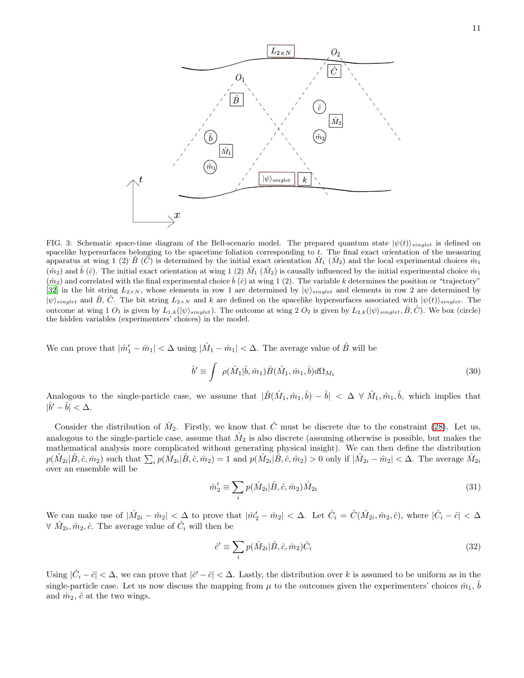

FIG. 3: Schematic space-time diagram of the Bell-scenario model. The prepared quantum state  $|\psi(t)\rangle_{singlet}$  is defined on spacelike hypersurfaces belonging to the spacetime foliation corresponding to t. The final exact orientation of the measuring apparatus at wing 1 (2)  $\hat{B}(\hat{C})$  is determined by the initial exact orientation  $\hat{M}_1(\hat{M}_2)$  and the local experimental choices  $\hat{m}_1$  $(\hat{m}_2)$  and  $\hat{b}$  ( $\hat{c}$ ). The initial exact orientation at wing 1 (2)  $\hat{M}_1$  ( $\hat{M}_2$ ) is causally influenced by the initial experimental choice  $\hat{m}_1$  $(\hat{m}_2)$  and correlated with the final experimental choice  $\hat{b}(\hat{c})$  at wing 1 (2). The variable k determines the position or "trajectory" [\[32\]](#page-15-18) in the bit string  $L_{2\times N}$ , whose elements in row 1 are determined by  $|\psi\rangle_{singlet}$  and elements in row 2 are determined by  $|\psi\rangle_{singlet}$  and  $\hat{B}, \hat{C}$ . The bit string  $L_{2\times N}$  and k are defined on the spacelike hypersurfaces associated with  $|\psi(t)\rangle_{singlet}$ . The outcome at wing 1  $O_1$  is given by  $L_{1,k}(\ket{\psi}_{single})$ . The outcome at wing 2  $O_2$  is given by  $L_{2,k}(\ket{\psi}_{single}, \hat{B}, \hat{C})$ . We box (circle) the hidden variables (experimenters' choices) in the model.

We can prove that  $|\hat{m}'_1 - \hat{m}_1| < \Delta$  using  $|\hat{M}_1 - \hat{m}_1| < \Delta$ . The average value of  $\hat{B}$  will be

<span id="page-10-0"></span>
$$
\hat{b}' \equiv \int \ \rho(\hat{M}_1|\hat{b}, \hat{m}_1) \hat{B}(\hat{M}_1, \hat{m}_1, \hat{b}) d\Omega_{M_1}
$$
\n(30)

Analogous to the single-particle case, we assume that  $|\hat{B}(\hat{M}_1, \hat{m}_1, \hat{b}) - \hat{b}| < \Delta \ \forall \ \hat{M}_1, \hat{m}_1, \hat{b}$ , which implies that  $|\hat{b}' - \hat{b}| < \Delta.$ 

Consider the distribution of  $\hat{M}_2$ . Firstly, we know that  $\hat{C}$  must be discrete due to the constraint [\(28\)](#page-9-2). Let us, analogous to the single-particle case, assume that  $\hat{M}_2$  is also discrete (assuming otherwise is possible, but makes the mathematical analysis more complicated without generating physical insight). We can then define the distribution  $p(\hat{M}_{2i}|\hat{B},\hat{c},\hat{m}_2)$  such that  $\sum_i p(\hat{M}_{2i}|\hat{B},\hat{c},\hat{m}_2) = 1$  and  $p(\hat{M}_{2i}|\hat{B},\hat{c},\hat{m}_2) > 0$  only if  $|\hat{M}_{2i} - \hat{m}_2| < \Delta$ . The average  $\hat{M}_{2i}$ over an ensemble will be

$$
\hat{m}'_2 \equiv \sum_i p(\hat{M}_{2i}|\hat{B}, \hat{c}, \hat{m}_2) \hat{M}_{2i} \tag{31}
$$

We can make use of  $|\hat{M}_{2i} - \hat{m}_2| < \Delta$  to prove that  $|\hat{m}'_2 - \hat{m}_2| < \Delta$ . Let  $\hat{C}_i = \hat{C}(\hat{M}_{2i}, \hat{m}_2, \hat{c})$ , where  $|\hat{C}_i - \hat{c}| < \Delta$  $\forall \ \hat{M}_{2i}, \hat{m}_2, \hat{c}$ . The average value of  $\hat{C}_i$  will then be

<span id="page-10-1"></span>
$$
\hat{c}' \equiv \sum_{i} p(\hat{M}_{2i}|\hat{B}, \hat{c}, \hat{m}_2)\hat{C}_i
$$
\n(32)

Using  $|\hat{C}_i - \hat{c}| < \Delta$ , we can prove that  $|\hat{c}' - \hat{c}| < \Delta$ . Lastly, the distribution over k is assumed to be uniform as in the single-particle case. Let us now discuss the mapping from  $\mu$  to the outcomes given the experimenters' choices  $\hat{m}_1$ ,  $\hat{b}$ and  $\hat{m}_2$ ,  $\hat{c}$  at the two wings.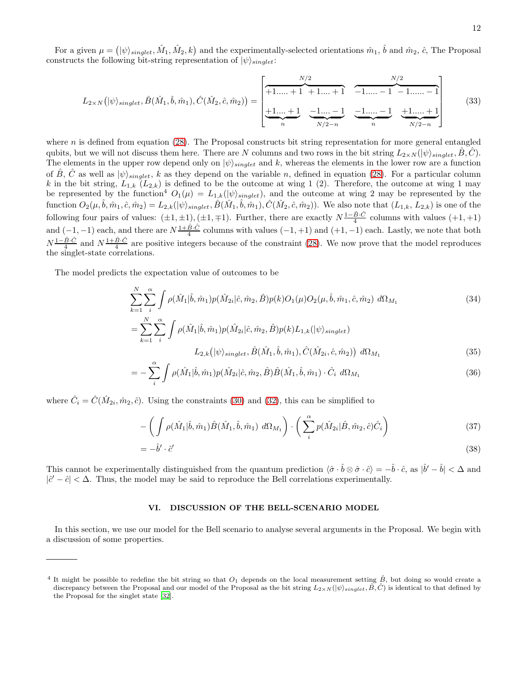12

For a given  $\mu = (|\psi\rangle_{singlet}, \hat{M}_1, \hat{M}_2, k)$  and the experimentally-selected orientations  $\hat{m}_1$ ,  $\hat{b}$  and  $\hat{m}_2$ ,  $\hat{c}$ , The Proposal constructs the following bit-string representation of  $|\psi\rangle_{singlet}$ :

$$
L_{2\times N}(\ket{\psi}_{singlet}, \hat{B}(\hat{M}_1, \hat{b}, \hat{m}_1), \hat{C}(\hat{M}_2, \hat{c}, \hat{m}_2)) = \begin{bmatrix} \frac{N/2}{+1...+1} & \frac{N/2}{+1...+1} & \frac{N/2}{-1...-1} & \frac{N/2}{-1...-1} \\ \frac{1}{N} & \frac{1}{N/2-n} & \frac{1}{N} & \frac{1}{N/2-n} & \frac{1}{N/2-n} \end{bmatrix}
$$
(33)

where  $n$  is defined from equation  $(28)$ . The Proposal constructs bit string representation for more general entangled qubits, but we will not discuss them here. There are N columns and two rows in the bit string  $L_{2\times N}(|\psi\rangle_{singlet}, \hat{B}, \hat{C})$ . The elements in the upper row depend only on  $|\psi\rangle_{singlet}$  and k, whereas the elements in the lower row are a function of B<sup> $\hat{B}$ </sup>, C<sup> $\hat{C}$ </sup> as well as  $|\psi\rangle_{singlet}$ , k as they depend on the variable n, defined in equation [\(28\)](#page-9-2). For a particular column k in the bit string,  $L_{1,k}$  ( $L_{2,k}$ ) is defined to be the outcome at wing 1 (2). Therefore, the outcome at wing 1 may be represented by the function<sup>4</sup>  $O_1(\mu) = L_{1,k}(|\psi\rangle_{singlet})$ , and the outcome at wing 2 may be represented by the function  $O_2(\mu, \hat{b}, \hat{m}_1, \hat{c}, \hat{m}_2) = L_{2,k}(|\psi\rangle_{singlet}, \hat{B}(\hat{M}_1, \hat{b}, \hat{m}_1), \hat{C}(\hat{M}_2, \hat{c}, \hat{m}_2))$ . We also note that  $(L_{1,k}, L_{2,k})$  is one of the following four pairs of values:  $(\pm 1, \pm 1), (\pm 1, \mp 1)$ . Further, there are exactly  $N\frac{1-\hat{B}\cdot\hat{C}}{4}$  columns with values  $(+1, +1)$ and  $(-1, -1)$  each, and there are  $N\frac{1+\hat{B}\cdot\hat{C}}{4}$  columns with values  $(-1, +1)$  and  $(+1, -1)$  each. Lastly, we note that both  $N\frac{1-\hat{B}\cdot\hat{C}}{4}$  and  $N\frac{1+\hat{B}\cdot\hat{C}}{4}$  are positive integers because of the constraint [\(28\)](#page-9-2). We now prove that the model reproduces the singlet-state correlations.

The model predicts the expectation value of outcomes to be

$$
\sum_{k=1}^{N} \sum_{i}^{\alpha} \int \rho(\hat{M}_{1}|\hat{b}, \hat{m}_{1}) p(\hat{M}_{2i}|\hat{c}, \hat{m}_{2}, \hat{B}) p(k) O_{1}(\mu) O_{2}(\mu, \hat{b}, \hat{m}_{1}, \hat{c}, \hat{m}_{2}) d\Omega_{M_{1}}
$$
\n
$$
= \sum_{k=1}^{N} \sum_{i}^{\alpha} \int \rho(\hat{M}_{1}|\hat{b}, \hat{m}_{1}) p(\hat{M}_{2i}|\hat{c}, \hat{m}_{2}, \hat{B}) p(k) L_{1,k}(|\psi\rangle_{singlet})
$$
\n
$$
L_{2,k}(|\psi\rangle_{singlet}, \hat{B}(\hat{M}_{1}, \hat{b}, \hat{m}_{1}), \hat{C}(\hat{M}_{2i}, \hat{c}, \hat{m}_{2})) d\Omega_{M_{1}}
$$
\n(35)

$$
= -\sum_{i}^{\alpha} \int \rho(\hat{M}_{1}|\hat{b}, \hat{m}_{1}) p(\hat{M}_{2i}|\hat{c}, \hat{m}_{2}, \hat{B}) \hat{B}(\hat{M}_{1}, \hat{b}, \hat{m}_{1}) \cdot \hat{C}_{i} d\Omega_{M_{1}} \tag{36}
$$

where  $\hat{C}_i = \hat{C}(\hat{M}_{2i}, \hat{m}_2, \hat{c})$ . Using the constraints [\(30\)](#page-10-0) and [\(32\)](#page-10-1), this can be simplified to

$$
-\left(\int \rho(\hat{M}_1|\hat{b},\hat{m}_1)\hat{B}(\hat{M}_1,\hat{b},\hat{m}_1) d\Omega_{M_1}\right) \cdot \left(\sum_{i}^{\alpha} p(\hat{M}_{2i}|\hat{B},\hat{m}_2,\hat{c})\hat{C}_i\right)
$$
(37)

$$
= -\hat{b}' \cdot \hat{c}' \tag{38}
$$

This cannot be experimentally distinguished from the quantum prediction  $\langle \hat{\sigma} \cdot \hat{b} \otimes \hat{\sigma} \cdot \hat{c} \rangle = -\hat{b} \cdot \hat{c}$ , as  $|\hat{b}' - \hat{b}| < \Delta$  and  $|\hat{c}' - \hat{c}| < \Delta$ . Thus, the model may be said to reproduce the Bell correlations experimentally.

# <span id="page-11-0"></span>VI. DISCUSSION OF THE BELL-SCENARIO MODEL

In this section, we use our model for the Bell scenario to analyse several arguments in the Proposal. We begin with a discussion of some properties.

<sup>&</sup>lt;sup>4</sup> It might be possible to redefine the bit string so that  $O_1$  depends on the local measurement setting  $\hat{B}$ , but doing so would create a discrepancy between the Proposal and our model of the Proposal as the bit string  $L_{2\times N}(\ket{\psi}_{singlet}, \hat{B}, \hat{C})$  is identical to that defined by the Proposal for the singlet state [\[32](#page-15-18)].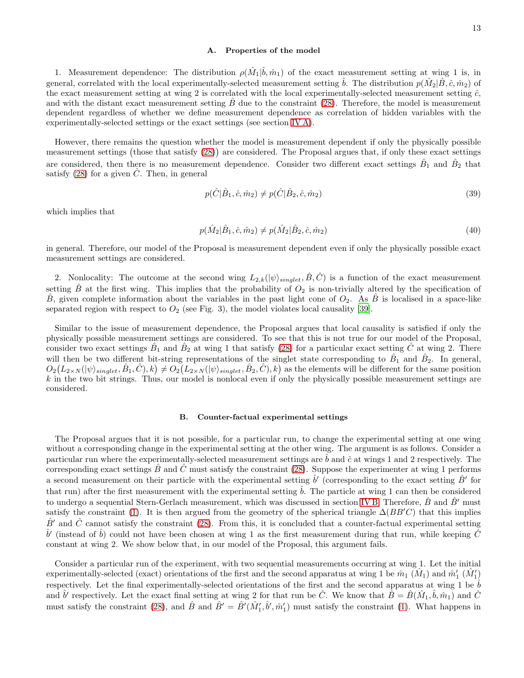## A. Properties of the model

1. Measurement dependence: The distribution  $\rho(\hat{M}_1|\hat{b},\hat{m}_1)$  of the exact measurement setting at wing 1 is, in general, correlated with the local experimentally-selected measurement setting  $\hat{b}$ . The distribution  $p(\hat{M}_2|\hat{B}, \hat{c}, \hat{m}_2)$  of the exact measurement setting at wing 2 is correlated with the local experimentally-selected measurement setting  $\hat{c}$ , and with the distant exact measurement setting  $\hat{B}$  due to the constraint [\(28\)](#page-9-2). Therefore, the model is measurement dependent regardless of whether we define measurement dependence as correlation of hidden variables with the experimentally-selected settings or the exact settings (see section [IV A\)](#page-5-1).

However, there remains the question whether the model is measurement dependent if only the physically possible measurement settings (those that satisfy [\(28\)](#page-9-2)) are considered. The Proposal argues that, if only these exact settings are considered, then there is no measurement dependence. Consider two different exact settings  $\hat{B}_1$  and  $\hat{B}_2$  that satisfy [\(28\)](#page-9-2) for a given  $\hat{C}$ . Then, in general

$$
p(\hat{C}|\hat{B}_1, \hat{c}, \hat{m}_2) \neq p(\hat{C}|\hat{B}_2, \hat{c}, \hat{m}_2)
$$
\n(39)

which implies that

$$
p(\hat{M}_2|\hat{B}_1, \hat{c}, \hat{m}_2) \neq p(\hat{M}_2|\hat{B}_2, \hat{c}, \hat{m}_2)
$$
\n(40)

in general. Therefore, our model of the Proposal is measurement dependent even if only the physically possible exact measurement settings are considered.

2. Nonlocality: The outcome at the second wing  $L_{2,k}(|\psi\rangle_{singlet}, \hat{B}, \hat{C})$  is a function of the exact measurement setting  $\hat{B}$  at the first wing. This implies that the probability of  $O_2$  is non-trivially altered by the specification of  $\hat{B}$ , given complete information about the variables in the past light cone of  $O_2$ . As  $\hat{B}$  is localised in a space-like separated region with respect to  $O_2$  (see Fig. 3), the model violates local causality [\[39\]](#page-15-21).

Similar to the issue of measurement dependence, the Proposal argues that local causality is satisfied if only the physically possible measurement settings are considered. To see that this is not true for our model of the Proposal, consider two exact settings  $\hat{B}_1$  and  $\hat{B}_2$  at wing 1 that satisfy [\(28\)](#page-9-2) for a particular exact setting  $\hat{C}$  at wing 2. There will then be two different bit-string representations of the singlet state corresponding to  $\hat{B}_1$  and  $\hat{B}_2$ . In general,  $O_2(L_{2\times N}(\ket{\psi}_{single}, \hat{B}_1, \hat{C}), k) \neq O_2(L_{2\times N}(\ket{\psi}_{single}, \hat{B}_2, \hat{C}), k)$  as the elements will be different for the same position  $k$  in the two bit strings. Thus, our model is nonlocal even if only the physically possible measurement settings are considered.

#### B. Counter-factual experimental settings

The Proposal argues that it is not possible, for a particular run, to change the experimental setting at one wing without a corresponding change in the experimental setting at the other wing. The argument is as follows. Consider a particular run where the experimentally-selected measurement settings are  $\hat{b}$  and  $\hat{c}$  at wings 1 and 2 respectively. The corresponding exact settings  $\hat{B}$  and  $\hat{C}$  must satisfy the constraint [\(28\)](#page-9-2). Suppose the experimenter at wing 1 performs a second measurement on their particle with the experimental setting  $\hat{b}'$  (corresponding to the exact setting  $\hat{B}'$  for that run) after the first measurement with the experimental setting  $\hat{b}$ . The particle at wing 1 can then be considered to undergo a sequential Stern-Gerlach measurement, which was discussed in section [IV B.](#page-6-0) Therefore,  $\hat{B}$  and  $\hat{B}'$  must satisfy the constraint [\(1\)](#page-2-1). It is then argued from the geometry of the spherical triangle  $\Delta(BB'C)$  that this implies  $\hat{B}'$  and  $\hat{C}$  cannot satisfy the constraint [\(28\)](#page-9-2). From this, it is concluded that a counter-factual experimental setting  $\hat{b}'$  (instead of  $\hat{b}$ ) could not have been chosen at wing 1 as the first measurement during that run, while keeping  $\hat{C}$ constant at wing 2. We show below that, in our model of the Proposal, this argument fails.

Consider a particular run of the experiment, with two sequential measurements occurring at wing 1. Let the initial experimentally-selected (exact) orientations of the first and the second apparatus at wing 1 be  $\hat{m}_1(\hat{M}_1)$  and  $\hat{m}'_1(\hat{M}'_1)$ respectively. Let the final experimentally-selected orientations of the first and the second apparatus at wing 1 be  $\hat{b}$ and  $\hat{b}'$  respectively. Let the exact final setting at wing 2 for that run be  $\hat{C}$ . We know that  $\hat{B} = \hat{B}(\hat{M}_1, \hat{b}, \hat{m}_1)$  and  $\hat{C}$ must satisfy the constraint [\(28\)](#page-9-2), and  $\hat{B}$  and  $\hat{B}' = \hat{B}'(\hat{M}'_1, \hat{b}', \hat{m}'_1)$  must satisfy the constraint [\(1\)](#page-2-1). What happens in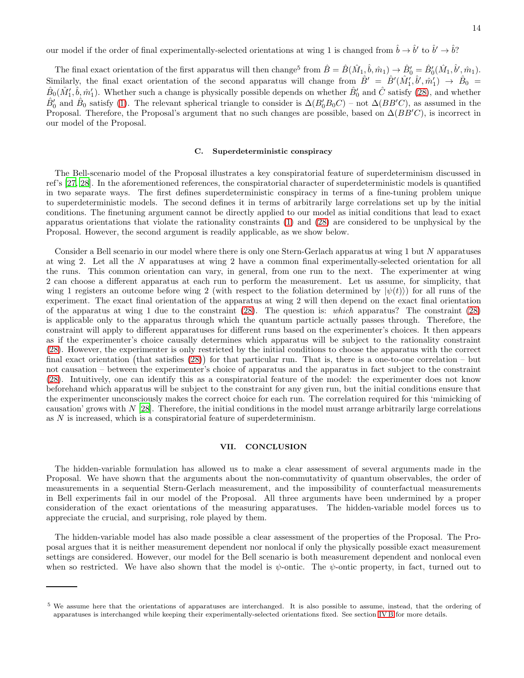The final exact orientation of the first apparatus will then change<sup>5</sup> from  $\hat{B} = \hat{B}(\hat{M}_1, \hat{b}, \hat{m}_1) \rightarrow \hat{B}'_0 = \hat{B}'_0(\hat{M}_1, \hat{b}', \hat{m}_1)$ . Similarly, the final exact orientation of the second apparatus will change from  $\hat{B}' = \hat{B}'(\hat{M}'_1, \hat{b}', \hat{m}'_1) \rightarrow \hat{B}_0$  $\hat{B}_0(\hat{M}'_1, \hat{b}, \hat{m}'_1)$ . Whether such a change is physically possible depends on whether  $\hat{B}'_0$  and  $\hat{C}$  satisfy [\(28\)](#page-9-2), and whether  $\hat{B}'_0$  and  $\hat{B}_0$  satisfy [\(1\)](#page-2-1). The relevant spherical triangle to consider is  $\Delta(B'_0B_0C)$  – not  $\Delta(BB'C)$ , as assumed in the Proposal. Therefore, the Proposal's argument that no such changes are possible, based on  $\Delta(BB'C)$ , is incorrect in our model of the Proposal.

# <span id="page-13-0"></span>C. Superdeterministic conspiracy

The Bell-scenario model of the Proposal illustrates a key conspiratorial feature of superdeterminism discussed in ref's [\[27,](#page-15-10) [28](#page-15-11)]. In the aforementioned references, the conspiratorial character of superdeterministic models is quantified in two separate ways. The first defines superdeterministic conspiracy in terms of a fine-tuning problem unique to superdeterministic models. The second defines it in terms of arbitrarily large correlations set up by the initial conditions. The finetuning argument cannot be directly applied to our model as initial conditions that lead to exact apparatus orientations that violate the rationality constraints [\(1\)](#page-2-1) and [\(28\)](#page-9-2) are considered to be unphysical by the Proposal. However, the second argument is readily applicable, as we show below.

Consider a Bell scenario in our model where there is only one Stern-Gerlach apparatus at wing 1 but N apparatuses at wing 2. Let all the N apparatuses at wing 2 have a common final experimentally-selected orientation for all the runs. This common orientation can vary, in general, from one run to the next. The experimenter at wing 2 can choose a different apparatus at each run to perform the measurement. Let us assume, for simplicity, that wing 1 registers an outcome before wing 2 (with respect to the foliation determined by  $|\psi(t)\rangle$ ) for all runs of the experiment. The exact final orientation of the apparatus at wing 2 will then depend on the exact final orientation of the apparatus at wing 1 due to the constraint [\(28\)](#page-9-2). The question is: which apparatus? The constraint [\(28\)](#page-9-2) is applicable only to the apparatus through which the quantum particle actually passes through. Therefore, the constraint will apply to different apparatuses for different runs based on the experimenter's choices. It then appears as if the experimenter's choice causally determines which apparatus will be subject to the rationality constraint [\(28\)](#page-9-2). However, the experimenter is only restricted by the initial conditions to choose the apparatus with the correct final exact orientation (that satisfies  $(28)$ ) for that particular run. That is, there is a one-to-one correlation – but not causation – between the experimenter's choice of apparatus and the apparatus in fact subject to the constraint [\(28\)](#page-9-2). Intuitively, one can identify this as a conspiratorial feature of the model: the experimenter does not know beforehand which apparatus will be subject to the constraint for any given run, but the initial conditions ensure that the experimenter unconsciously makes the correct choice for each run. The correlation required for this 'mimicking of causation' grows with  $N$  [\[28\]](#page-15-11). Therefore, the initial conditions in the model must arrange arbitrarily large correlations as N is increased, which is a conspiratorial feature of superdeterminism.

## <span id="page-13-1"></span>VII. CONCLUSION

The hidden-variable formulation has allowed us to make a clear assessment of several arguments made in the Proposal. We have shown that the arguments about the non-commutativity of quantum observables, the order of measurements in a sequential Stern-Gerlach measurement, and the impossibility of counterfactual measurements in Bell experiments fail in our model of the Proposal. All three arguments have been undermined by a proper consideration of the exact orientations of the measuring apparatuses. The hidden-variable model forces us to appreciate the crucial, and surprising, role played by them.

The hidden-variable model has also made possible a clear assessment of the properties of the Proposal. The Proposal argues that it is neither measurement dependent nor nonlocal if only the physically possible exact measurement settings are considered. However, our model for the Bell scenario is both measurement dependent and nonlocal even when so restricted. We have also shown that the model is  $\psi$ -ontic. The  $\psi$ -ontic property, in fact, turned out to

<sup>&</sup>lt;sup>5</sup> We assume here that the orientations of apparatuses are interchanged. It is also possible to assume, instead, that the ordering of apparatuses is interchanged while keeping their experimentally-selected orientations fixed. See section [IV B](#page-6-0) for more details.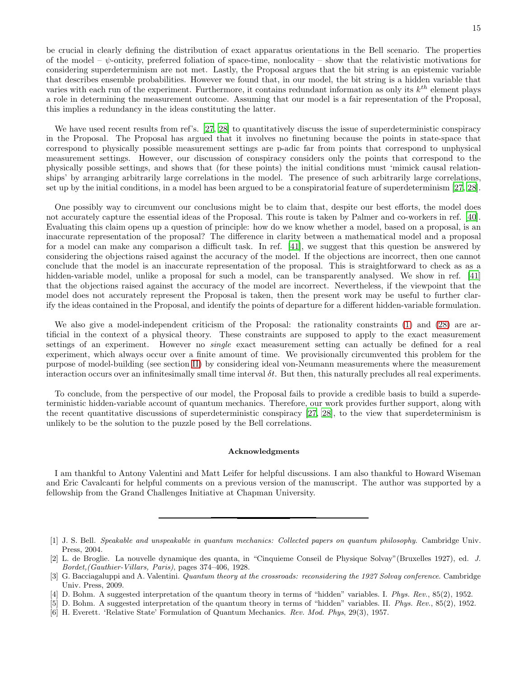be crucial in clearly defining the distribution of exact apparatus orientations in the Bell scenario. The properties of the model –  $\psi$ -onticity, preferred foliation of space-time, nonlocality – show that the relativistic motivations for considering superdeterminism are not met. Lastly, the Proposal argues that the bit string is an epistemic variable that describes ensemble probabilities. However we found that, in our model, the bit string is a hidden variable that varies with each run of the experiment. Furthermore, it contains redundant information as only its  $k^{th}$  element plays a role in determining the measurement outcome. Assuming that our model is a fair representation of the Proposal, this implies a redundancy in the ideas constituting the latter.

We have used recent results from ref's. [\[27,](#page-15-10) [28\]](#page-15-11) to quantitatively discuss the issue of superdeterministic conspiracy in the Proposal. The Proposal has argued that it involves no finetuning because the points in state-space that correspond to physically possible measurement settings are p-adic far from points that correspond to unphysical measurement settings. However, our discussion of conspiracy considers only the points that correspond to the physically possible settings, and shows that (for these points) the initial conditions must 'mimick causal relationships' by arranging arbitrarily large correlations in the model. The presence of such arbitrarily large correlations, set up by the initial conditions, in a model has been argued to be a conspiratorial feature of superdeterminism [\[27](#page-15-10), [28\]](#page-15-11).

One possibly way to circumvent our conclusions might be to claim that, despite our best efforts, the model does not accurately capture the essential ideas of the Proposal. This route is taken by Palmer and co-workers in ref. [\[40\]](#page-15-22). Evaluating this claim opens up a question of principle: how do we know whether a model, based on a proposal, is an inaccurate representation of the proposal? The difference in clarity between a mathematical model and a proposal for a model can make any comparison a difficult task. In ref. [\[41](#page-15-23)], we suggest that this question be answered by considering the objections raised against the accuracy of the model. If the objections are incorrect, then one cannot conclude that the model is an inaccurate representation of the proposal. This is straightforward to check as as a hidden-variable model, unlike a proposal for such a model, can be transparently analysed. We show in ref. [\[41](#page-15-23)] that the objections raised against the accuracy of the model are incorrect. Nevertheless, if the viewpoint that the model does not accurately represent the Proposal is taken, then the present work may be useful to further clarify the ideas contained in the Proposal, and identify the points of departure for a different hidden-variable formulation.

We also give a model-independent criticism of the Proposal: the rationality constraints [\(1\)](#page-2-1) and [\(28\)](#page-9-2) are artificial in the context of a physical theory. These constraints are supposed to apply to the exact measurement settings of an experiment. However no *single* exact measurement setting can actually be defined for a real experiment, which always occur over a finite amount of time. We provisionally circumvented this problem for the purpose of model-building (see section [II\)](#page-1-0) by considering ideal von-Neumann measurements where the measurement interaction occurs over an infinitesimally small time interval  $\delta t$ . But then, this naturally precludes all real experiments.

To conclude, from the perspective of our model, the Proposal fails to provide a credible basis to build a superdeterministic hidden-variable account of quantum mechanics. Therefore, our work provides further support, along with the recent quantitative discussions of superdeterministic conspiracy [\[27,](#page-15-10) [28\]](#page-15-11), to the view that superdeterminism is unlikely to be the solution to the puzzle posed by the Bell correlations.

### Acknowledgments

I am thankful to Antony Valentini and Matt Leifer for helpful discussions. I am also thankful to Howard Wiseman and Eric Cavalcanti for helpful comments on a previous version of the manuscript. The author was supported by a fellowship from the Grand Challenges Initiative at Chapman University.

<span id="page-14-2"></span>[5] D. Bohm. A suggested interpretation of the quantum theory in terms of "hidden" variables. II. *Phys. Rev.*, 85(2), 1952.

<span id="page-14-0"></span><sup>[1]</sup> J. S. Bell. *Speakable and unspeakable in quantum mechanics: Collected papers on quantum philosophy*. Cambridge Univ. Press, 2004.

<span id="page-14-1"></span><sup>[2]</sup> L. de Broglie. La nouvelle dynamique des quanta, in "Cinquieme Conseil de Physique Solvay"(Bruxelles 1927), ed. *J. Bordet,(Gauthier-Villars, Paris)*, pages 374–406, 1928.

<span id="page-14-4"></span><sup>[3]</sup> G. Bacciagaluppi and A. Valentini. *Quantum theory at the crossroads: reconsidering the 1927 Solvay conference*. Cambridge Univ. Press, 2009.

<sup>[4]</sup> D. Bohm. A suggested interpretation of the quantum theory in terms of "hidden" variables. I. *Phys. Rev.*, 85(2), 1952.

<span id="page-14-3"></span><sup>[6]</sup> H. Everett. 'Relative State' Formulation of Quantum Mechanics. *Rev. Mod. Phys*, 29(3), 1957.